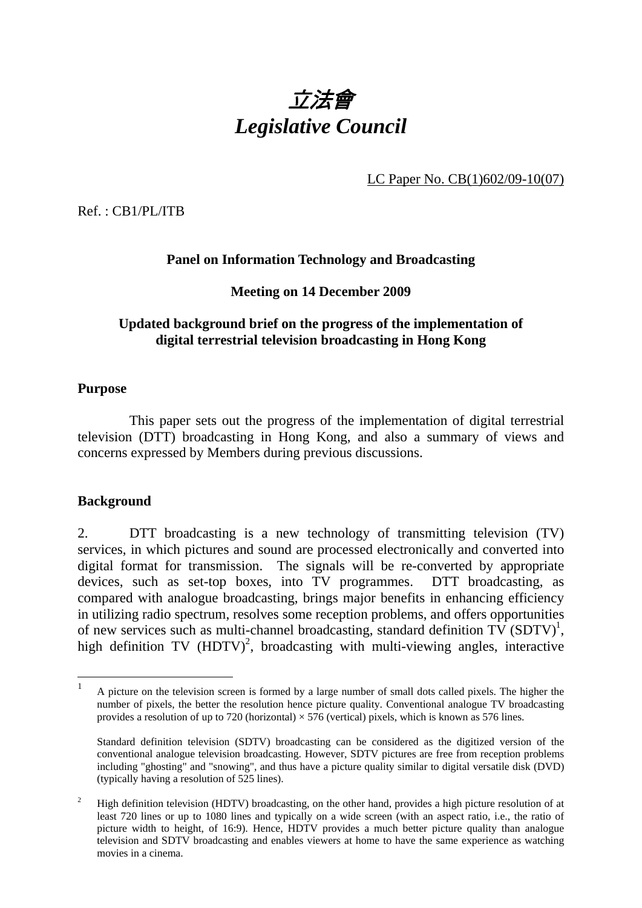

LC Paper No. CB(1)602/09-10(07)

Ref. : CB1/PL/ITB

# **Panel on Information Technology and Broadcasting**

### **Meeting on 14 December 2009**

# **Updated background brief on the progress of the implementation of digital terrestrial television broadcasting in Hong Kong**

### **Purpose**

 This paper sets out the progress of the implementation of digital terrestrial television (DTT) broadcasting in Hong Kong, and also a summary of views and concerns expressed by Members during previous discussions.

#### **Background**

2. DTT broadcasting is a new technology of transmitting television (TV) services, in which pictures and sound are processed electronically and converted into digital format for transmission. The signals will be re-converted by appropriate devices, such as set-top boxes, into TV programmes. DTT broadcasting, as compared with analogue broadcasting, brings major benefits in enhancing efficiency in utilizing radio spectrum, resolves some reception problems, and offers opportunities of new services such as multi-channel broadcasting, standard definition  $\overline{TV}$  (SDTV)<sup>1</sup>, high definition TV  $(HDTV)^2$ , broadcasting with multi-viewing angles, interactive

 $\mathbf{1}$ <sup>1</sup> A picture on the television screen is formed by a large number of small dots called pixels. The higher the number of pixels, the better the resolution hence picture quality. Conventional analogue TV broadcasting provides a resolution of up to 720 (horizontal)  $\times$  576 (vertical) pixels, which is known as 576 lines.

Standard definition television (SDTV) broadcasting can be considered as the digitized version of the conventional analogue television broadcasting. However, SDTV pictures are free from reception problems including "ghosting" and "snowing", and thus have a picture quality similar to digital versatile disk (DVD) (typically having a resolution of 525 lines).

 $2<sup>2</sup>$  High definition television (HDTV) broadcasting, on the other hand, provides a high picture resolution of at least 720 lines or up to 1080 lines and typically on a wide screen (with an aspect ratio, i.e., the ratio of picture width to height, of 16:9). Hence, HDTV provides a much better picture quality than analogue television and SDTV broadcasting and enables viewers at home to have the same experience as watching movies in a cinema.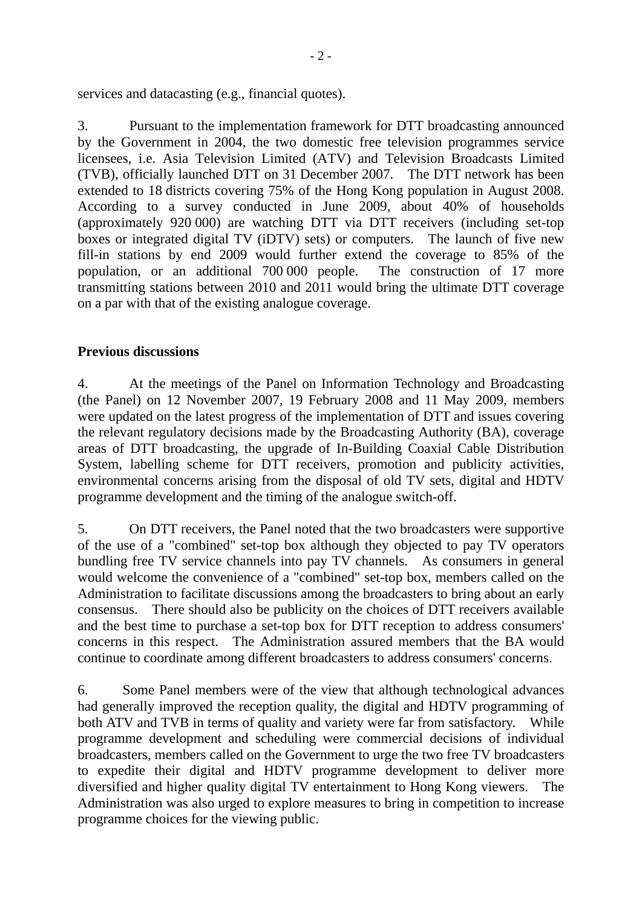services and datacasting (e.g., financial quotes).

3. Pursuant to the implementation framework for DTT broadcasting announced by the Government in 2004, the two domestic free television programmes service licensees, i.e. Asia Television Limited (ATV) and Television Broadcasts Limited (TVB), officially launched DTT on 31 December 2007. The DTT network has been extended to 18 districts covering 75% of the Hong Kong population in August 2008. According to a survey conducted in June 2009, about 40% of households (approximately 920 000) are watching DTT via DTT receivers (including set-top boxes or integrated digital TV (iDTV) sets) or computers. The launch of five new fill-in stations by end 2009 would further extend the coverage to 85% of the population, or an additional 700 000 people. The construction of 17 more transmitting stations between 2010 and 2011 would bring the ultimate DTT coverage on a par with that of the existing analogue coverage.

# **Previous discussions**

4. At the meetings of the Panel on Information Technology and Broadcasting (the Panel) on 12 November 2007, 19 February 2008 and 11 May 2009, members were updated on the latest progress of the implementation of DTT and issues covering the relevant regulatory decisions made by the Broadcasting Authority (BA), coverage areas of DTT broadcasting, the upgrade of In-Building Coaxial Cable Distribution System, labelling scheme for DTT receivers, promotion and publicity activities, environmental concerns arising from the disposal of old TV sets, digital and HDTV programme development and the timing of the analogue switch-off.

5. On DTT receivers, the Panel noted that the two broadcasters were supportive of the use of a "combined" set-top box although they objected to pay TV operators bundling free TV service channels into pay TV channels. As consumers in general would welcome the convenience of a "combined" set-top box, members called on the Administration to facilitate discussions among the broadcasters to bring about an early consensus. There should also be publicity on the choices of DTT receivers available and the best time to purchase a set-top box for DTT reception to address consumers' concerns in this respect. The Administration assured members that the BA would continue to coordinate among different broadcasters to address consumers' concerns.

6. Some Panel members were of the view that although technological advances had generally improved the reception quality, the digital and HDTV programming of both ATV and TVB in terms of quality and variety were far from satisfactory. While programme development and scheduling were commercial decisions of individual broadcasters, members called on the Government to urge the two free TV broadcasters to expedite their digital and HDTV programme development to deliver more diversified and higher quality digital TV entertainment to Hong Kong viewers. The Administration was also urged to explore measures to bring in competition to increase programme choices for the viewing public.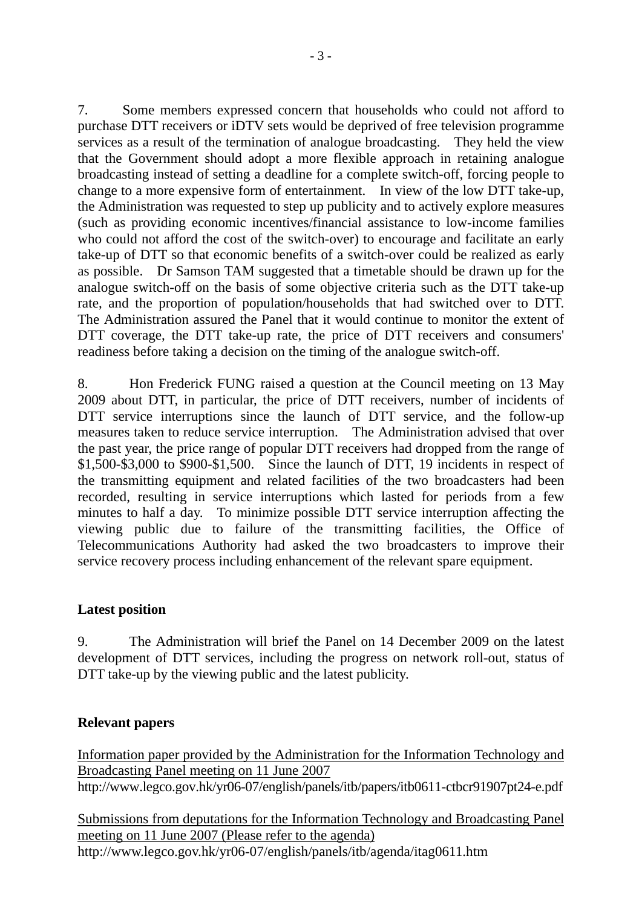7. Some members expressed concern that households who could not afford to purchase DTT receivers or iDTV sets would be deprived of free television programme services as a result of the termination of analogue broadcasting. They held the view that the Government should adopt a more flexible approach in retaining analogue broadcasting instead of setting a deadline for a complete switch-off, forcing people to change to a more expensive form of entertainment. In view of the low DTT take-up, the Administration was requested to step up publicity and to actively explore measures (such as providing economic incentives/financial assistance to low-income families who could not afford the cost of the switch-over) to encourage and facilitate an early take-up of DTT so that economic benefits of a switch-over could be realized as early as possible. Dr Samson TAM suggested that a timetable should be drawn up for the analogue switch-off on the basis of some objective criteria such as the DTT take-up rate, and the proportion of population/households that had switched over to DTT. The Administration assured the Panel that it would continue to monitor the extent of DTT coverage, the DTT take-up rate, the price of DTT receivers and consumers' readiness before taking a decision on the timing of the analogue switch-off.

8. Hon Frederick FUNG raised a question at the Council meeting on 13 May 2009 about DTT, in particular, the price of DTT receivers, number of incidents of DTT service interruptions since the launch of DTT service, and the follow-up measures taken to reduce service interruption. The Administration advised that over the past year, the price range of popular DTT receivers had dropped from the range of \$1,500-\$3,000 to \$900-\$1,500. Since the launch of DTT, 19 incidents in respect of the transmitting equipment and related facilities of the two broadcasters had been recorded, resulting in service interruptions which lasted for periods from a few minutes to half a day. To minimize possible DTT service interruption affecting the viewing public due to failure of the transmitting facilities, the Office of Telecommunications Authority had asked the two broadcasters to improve their service recovery process including enhancement of the relevant spare equipment.

# **Latest position**

9. The Administration will brief the Panel on 14 December 2009 on the latest development of DTT services, including the progress on network roll-out, status of DTT take-up by the viewing public and the latest publicity.

# **Relevant papers**

Information paper provided by the Administration for the Information Technology and Broadcasting Panel meeting on 11 June 2007 http://www.legco.gov.hk/yr06-07/english/panels/itb/papers/itb0611-ctbcr91907pt24-e.pdf

Submissions from deputations for the Information Technology and Broadcasting Panel meeting on 11 June 2007 (Please refer to the agenda) http://www.legco.gov.hk/yr06-07/english/panels/itb/agenda/itag0611.htm